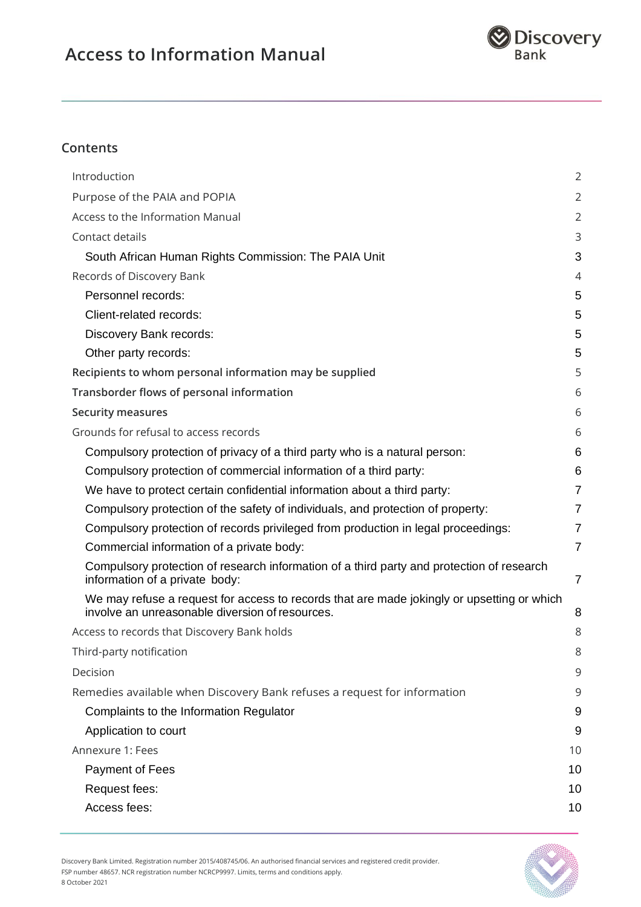

## **Contents**

| Introduction                                                                                                                                  | $\overline{2}$ |
|-----------------------------------------------------------------------------------------------------------------------------------------------|----------------|
| Purpose of the PAIA and POPIA                                                                                                                 | $\overline{2}$ |
| Access to the Information Manual                                                                                                              | $\overline{2}$ |
| Contact details                                                                                                                               | 3              |
| South African Human Rights Commission: The PAIA Unit                                                                                          | 3              |
| Records of Discovery Bank                                                                                                                     | $\overline{4}$ |
| Personnel records:                                                                                                                            | 5              |
| Client-related records:                                                                                                                       | 5              |
| Discovery Bank records:                                                                                                                       | 5              |
| Other party records:                                                                                                                          | 5              |
| Recipients to whom personal information may be supplied                                                                                       | 5              |
| Transborder flows of personal information                                                                                                     | 6              |
| <b>Security measures</b>                                                                                                                      | 6              |
| Grounds for refusal to access records                                                                                                         | 6              |
| Compulsory protection of privacy of a third party who is a natural person:                                                                    | 6              |
| Compulsory protection of commercial information of a third party:                                                                             | 6              |
| We have to protect certain confidential information about a third party:                                                                      | $\overline{7}$ |
| Compulsory protection of the safety of individuals, and protection of property:                                                               | $\overline{7}$ |
| Compulsory protection of records privileged from production in legal proceedings:                                                             | $\overline{7}$ |
| Commercial information of a private body:                                                                                                     | $\overline{7}$ |
| Compulsory protection of research information of a third party and protection of research<br>information of a private body:                   | $\overline{7}$ |
| We may refuse a request for access to records that are made jokingly or upsetting or which<br>involve an unreasonable diversion of resources. | 8              |
| Access to records that Discovery Bank holds                                                                                                   | 8              |
| Third-party notification                                                                                                                      | 8              |
| Decision                                                                                                                                      | 9              |
| Remedies available when Discovery Bank refuses a request for information                                                                      | 9              |
| Complaints to the Information Regulator                                                                                                       | 9              |
| Application to court                                                                                                                          | 9              |
| Annexure 1: Fees                                                                                                                              | 10             |
| Payment of Fees                                                                                                                               | 10             |
| Request fees:                                                                                                                                 | 10             |
| Access fees:                                                                                                                                  | 10             |
|                                                                                                                                               |                |



Discovery Bank Limited. Registration number 2015/408745/06. An authorised financial services and registered credit provider. FSP number 48657. NCR registration number NCRCP9997. Limits, terms and conditions apply. 8 October 2021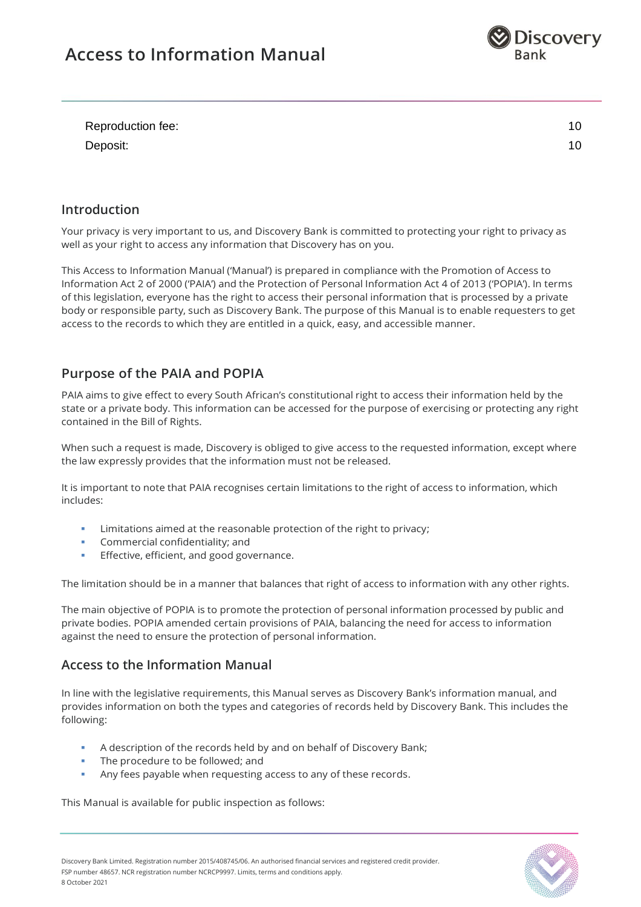

| Reproduction fee: |  |
|-------------------|--|
| Deposit:          |  |

## <span id="page-1-0"></span>**Introduction**

Your privacy is very important to us, and Discovery Bank is committed to protecting your right to privacy as well as your right to access any information that Discovery has on you.

This Access to Information Manual ('Manual') is prepared in compliance with the Promotion of Access to Information Act 2 of 2000 ('PAIA') and the Protection of Personal Information Act 4 of 2013 ('POPIA'). In terms of this legislation, everyone has the right to access their personal information that is processed by a private body or responsible party, such as Discovery Bank. The purpose of this Manual is to enable requesters to get access to the records to which they are entitled in a quick, easy, and accessible manner.

## <span id="page-1-1"></span>**Purpose of the PAIA and POPIA**

PAIA aims to give effect to every South African's constitutional right to access their information held by the state or a private body. This information can be accessed for the purpose of exercising or protecting any right contained in the Bill of Rights.

When such a request is made, Discovery is obliged to give access to the requested information, except where the law expressly provides that the information must not be released.

It is important to note that PAIA recognises certain limitations to the right of access to information, which includes:

- Limitations aimed at the reasonable protection of the right to privacy:
- Commercial confidentiality; and
- Effective, efficient, and good governance.

The limitation should be in a manner that balances that right of access to information with any other rights.

The main objective of POPIA is to promote the protection of personal information processed by public and private bodies. POPIA amended certain provisions of PAIA, balancing the need for access to information against the need to ensure the protection of personal information.

## <span id="page-1-2"></span>**Access to the Information Manual**

In line with the legislative requirements, this Manual serves as Discovery Bank's information manual, and provides information on both the types and categories of records held by Discovery Bank. This includes the following:

- A description of the records held by and on behalf of Discovery Bank;
- The procedure to be followed; and
- Any fees payable when requesting access to any of these records.

This Manual is available for public inspection as follows:

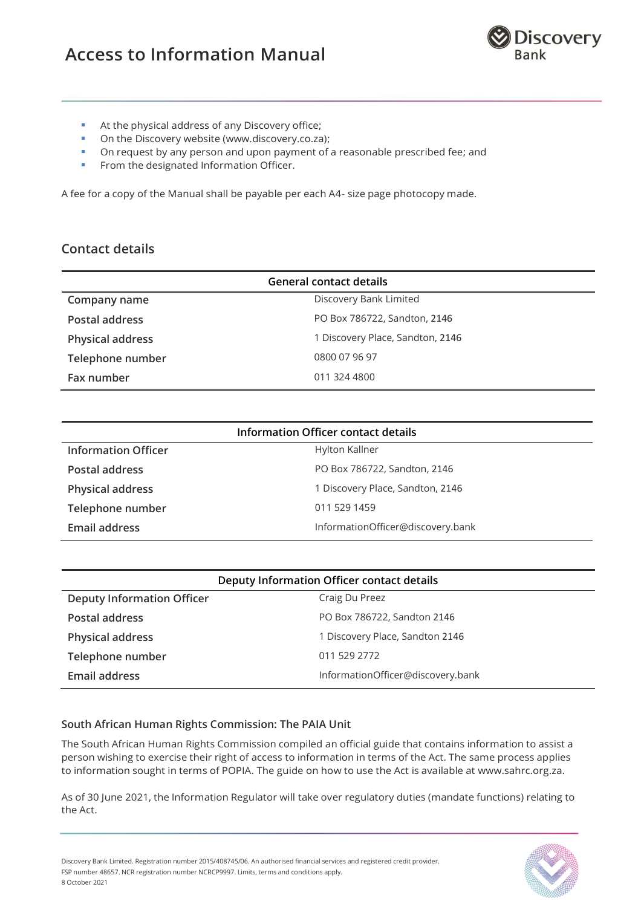

- At the physical address of any Discovery office;
- On the Discovery website (www.discovery.co.za):
- **•** On request by any person and upon payment of a reasonable prescribed fee; and
- **•** From the designated Information Officer.

A fee for a copy of the Manual shall be payable per each A4- size page photocopy made.

## <span id="page-2-0"></span>**Contact details**

| <b>General contact details</b> |                                  |  |  |
|--------------------------------|----------------------------------|--|--|
| Company name                   | Discovery Bank Limited           |  |  |
| Postal address                 | PO Box 786722, Sandton, 2146     |  |  |
| <b>Physical address</b>        | 1 Discovery Place, Sandton, 2146 |  |  |
| Telephone number               | 0800 07 96 97                    |  |  |
| Fax number                     | 011 324 4800                     |  |  |

| Information Officer contact details |                                   |  |  |
|-------------------------------------|-----------------------------------|--|--|
| <b>Information Officer</b>          | Hylton Kallner                    |  |  |
| Postal address                      | PO Box 786722, Sandton, 2146      |  |  |
| <b>Physical address</b>             | 1 Discovery Place, Sandton, 2146  |  |  |
| Telephone number                    | 011 529 1459                      |  |  |
| Email address                       | InformationOfficer@discovery.bank |  |  |

| Deputy Information Officer contact details |                                   |  |  |
|--------------------------------------------|-----------------------------------|--|--|
| <b>Deputy Information Officer</b>          | Craig Du Preez                    |  |  |
| Postal address                             | PO Box 786722, Sandton 2146       |  |  |
| <b>Physical address</b>                    | 1 Discovery Place, Sandton 2146   |  |  |
| Telephone number                           | 011 529 2772                      |  |  |
| Email address                              | InformationOfficer@discovery.bank |  |  |

#### <span id="page-2-1"></span>**South African Human Rights Commission: The PAIA Unit**

The South African Human Rights Commission compiled an official guide that contains information to assist a person wishing to exercise their right of access to information in terms of the Act. The same process applies to information sought in terms of POPIA. The guide on how to use the Act is available at www.sahrc.org.za.

As of 30 June 2021, the Information Regulator will take over regulatory duties (mandate functions) relating to the Act.

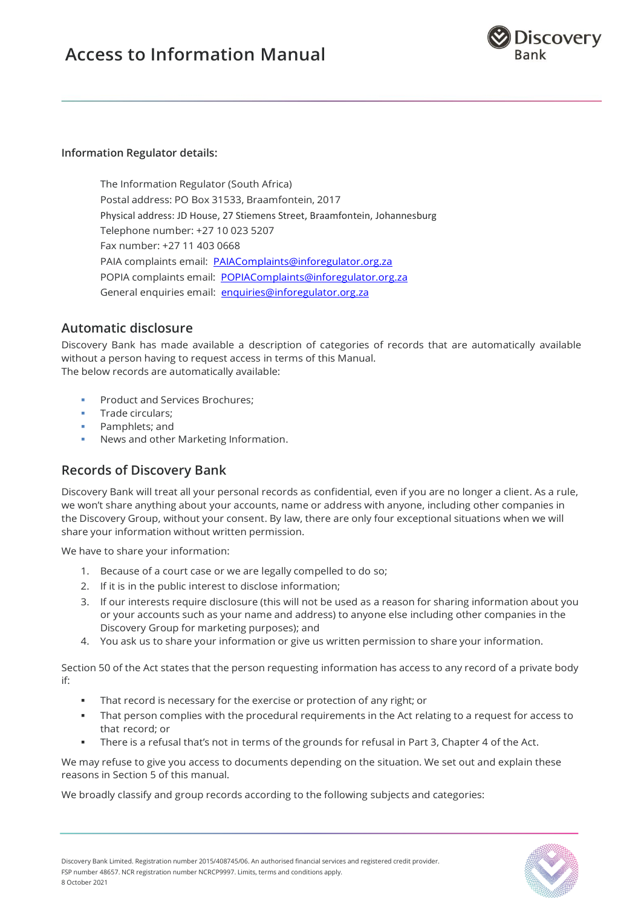

#### **Information Regulator details:**

The Information Regulator (South Africa) Postal address: PO Box 31533, Braamfontein, 2017 Physical address: JD House, 27 Stiemens Street, Braamfontein, Johannesburg Telephone number: +27 10 023 5207 Fax number: +27 11 403 0668 PAIA complaints email: [PAIAComplaints@inforegulator.org.za](mailto:PAIAComplaints@inforegulator.org.za) POPIA complaints email: [POPIAComplaints@inforegulator.org.za](mailto:POPIAComplaints@inforegulator.org.za) General enquiries email: [enquiries@inforegulator.org.za](mailto:enquiries@inforegulator.org.za)

## **Automatic disclosure**

Discovery Bank has made available a description of categories of records that are automatically available without a person having to request access in terms of this Manual. The below records are automatically available:

- **Product and Services Brochures;**
- Trade circulars:
- Pamphlets; and
- News and other Marketing Information.

## <span id="page-3-0"></span>**Records of Discovery Bank**

Discovery Bank will treat all your personal records as confidential, even if you are no longer a client. As a rule, we won't share anything about your accounts, name or address with anyone, including other companies in the Discovery Group, without your consent. By law, there are only four exceptional situations when we will share your information without written permission.

We have to share your information:

- 1. Because of a court case or we are legally compelled to do so;
- 2. If it is in the public interest to disclose information;
- 3. If our interests require disclosure (this will not be used as a reason for sharing information about you or your accounts such as your name and address) to anyone else including other companies in the Discovery Group for marketing purposes); and
- 4. You ask us to share your information or give us written permission to share your information.

Section 50 of the Act states that the person requesting information has access to any record of a private body if:

- That record is necessary for the exercise or protection of any right; or
- That person complies with the procedural requirements in the Act relating to a request for access to that record; or
- There is a refusal that's not in terms of the grounds for refusal in Part 3, Chapter 4 of the Act.

We may refuse to give you access to documents depending on the situation. We set out and explain these reasons in Section 5 of this manual.

We broadly classify and group records according to the following subjects and categories:

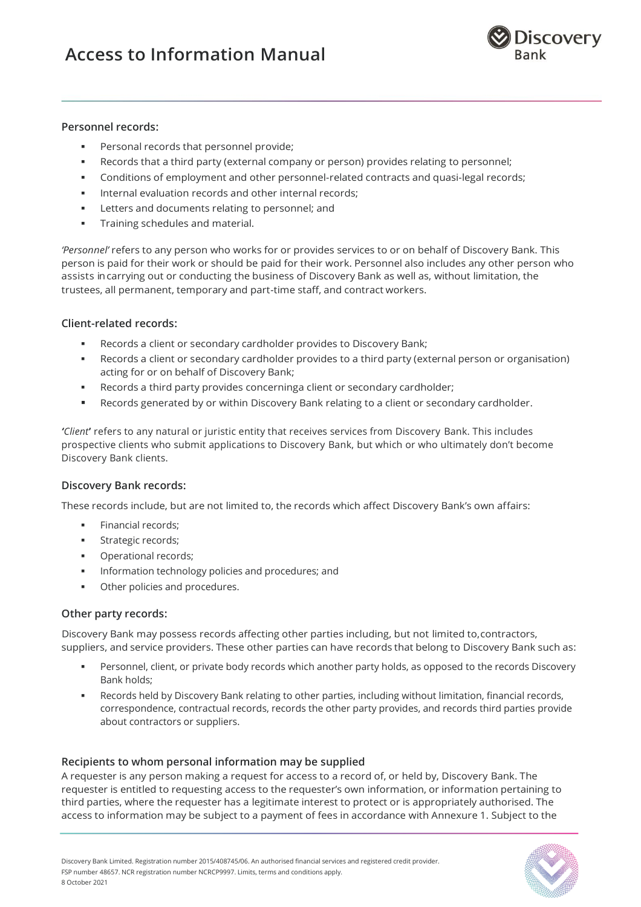

#### <span id="page-4-0"></span>**Personnel records:**

- Personal records that personnel provide;
- Records that a third party (external company or person) provides relating to personnel;
- **•** Conditions of employment and other personnel-related contracts and quasi-legal records;
- **EXECT:** Internal evaluation records and other internal records;
- Letters and documents relating to personnel; and
- **•** Training schedules and material.

*'Personnel'* refers to any person who works for or provides services to or on behalf of Discovery Bank. This person is paid for their work or should be paid for their work. Personnel also includes any other person who assists in carrying out or conducting the business of Discovery Bank as well as, without limitation, the trustees, all permanent, temporary and part-time staff, and contract workers.

#### <span id="page-4-1"></span>**Client-related records:**

- Records a client or secondary cardholder provides to Discovery Bank;
- Records a client or secondary cardholder provides to a third party (external person or organisation) acting for or on behalf of Discovery Bank;
- Records a third party provides concerninga client or secondary cardholder;
- Records generated by or within Discovery Bank relating to a client or secondary cardholder.

*'Client***'** refers to any natural or juristic entity that receives services from Discovery Bank. This includes prospective clients who submit applications to Discovery Bank, but which or who ultimately don't become Discovery Bank clients.

#### <span id="page-4-2"></span>**Discovery Bank records:**

These records include, but are not limited to, the records which affect Discovery Bank's own affairs:

- Financial records;
- **■** Strategic records;
- Operational records;
- Information technology policies and procedures; and
- Other policies and procedures.

#### <span id="page-4-3"></span>**Other party records:**

Discovery Bank may possess records affecting other parties including, but not limited to,contractors, suppliers, and service providers. These other parties can have records that belong to Discovery Bank such as:

- Personnel, client, or private body records which another party holds, as opposed to the records Discovery Bank holds;
- Records held by Discovery Bank relating to other parties, including without limitation, financial records, correspondence, contractual records, records the other party provides, and records third parties provide about contractors or suppliers.

#### <span id="page-4-4"></span>**Recipients to whom personal information may be supplied**

A requester is any person making a request for access to a record of, or held by, Discovery Bank. The requester is entitled to requesting access to the requester's own information, or information pertaining to third parties, where the requester has a legitimate interest to protect or is appropriately authorised. The access to information may be subject to a payment of fees in accordance with Annexure 1. Subject to the

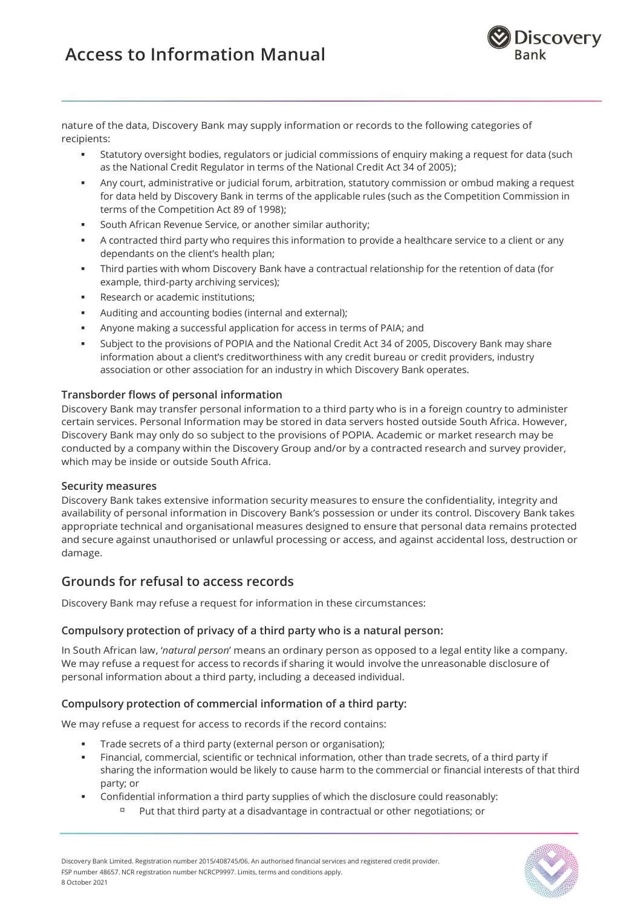

nature of the data, Discovery Bank may supply information or records to the following categories of recipients:

- Statutory oversight bodies, regulators or judicial commissions of enquiry making a request for data (such as the National Credit Regulator in terms of the National Credit Act 34 of 2005);
- Any court, administrative or judicial forum, arbitration, statutory commission or ombud making a request for data held by Discovery Bank in terms of the applicable rules (such as the Competition Commission in terms of the Competition Act 89 of 1998);
- **EXECT** South African Revenue Service, or another similar authority;
- A contracted third party who requires this information to provide a healthcare service to a client or any dependants on the client's health plan;
- Third parties with whom Discovery Bank have a contractual relationship for the retention of data (for example, third-party archiving services);
- **■** Research or academic institutions;
- Auditing and accounting bodies (internal and external);
- Anyone making a successful application for access in terms of PAIA; and
- **EXECUTE:** Subject to the provisions of POPIA and the National Credit Act 34 of 2005, Discovery Bank may share information about a client's creditworthiness with any credit bureau or credit providers, industry association or other association for an industry in which Discovery Bank operates.

#### <span id="page-5-0"></span>**Transborder flows of personal information**

Discovery Bank may transfer personal information to a third party who is in a foreign country to administer certain services. Personal Information may be stored in data servers hosted outside South Africa. However, Discovery Bank may only do so subject to the provisions of POPIA. Academic or market research may be conducted by a company within the Discovery Group and/or by a contracted research and survey provider, which may be inside or outside South Africa.

#### <span id="page-5-1"></span>**Security measures**

Discovery Bank takes extensive information security measures to ensure the confidentiality, integrity and availability of personal information in Discovery Bank's possession or under its control. Discovery Bank takes appropriate technical and organisational measures designed to ensure that personal data remains protected and secure against unauthorised or unlawful processing or access, and against accidental loss, destruction or damage.

## <span id="page-5-2"></span>**Grounds for refusal to access records**

Discovery Bank may refuse a request for information in these circumstances:

#### <span id="page-5-3"></span>**Compulsory protection of privacy of a third party who is a natural person:**

In South African law, '*natural person*' means an ordinary person as opposed to a legal entity like a company. We may refuse a request for access to records if sharing it would involve the unreasonable disclosure of personal information about a third party, including a deceased individual.

### <span id="page-5-4"></span>**Compulsory protection of commercial information of a third party:**

We may refuse a request for access to records if the record contains:

- Trade secrets of a third party (external person or organisation);
- Financial, commercial, scientific or technical information, other than trade secrets, of a third party if sharing the information would be likely to cause harm to the commercial or financial interests of that third party; or
- Confidential information a third party supplies of which the disclosure could reasonably:
	- Put that third party at a disadvantage in contractual or other negotiations; or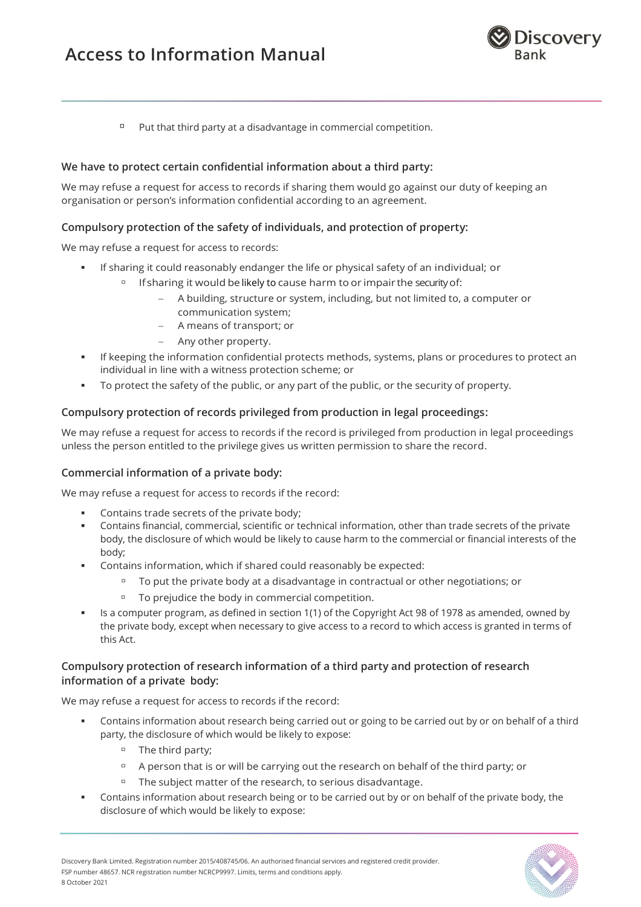

 $P$ ut that third party at a disadvantage in commercial competition.

#### <span id="page-6-0"></span>**We have to protect certain confidential information about a third party:**

We may refuse a request for access to records if sharing them would go against our duty of keeping an organisation or person's information confidential according to an agreement.

#### <span id="page-6-1"></span>**Compulsory protection of the safety of individuals, and protection of property:**

We may refuse a request for access to records:

- If sharing it could reasonably endanger the life or physical safety of an individual; or
	- □ If sharing it would be likely to cause harm to or impair the security of:
		- − A building, structure or system, including, but not limited to, a computer or communication system;
		- − A means of transport; or
		- − Any other property.
- **If keeping the information confidential protects methods, systems, plans or procedures to protect an** individual in line with a witness protection scheme; or
- To protect the safety of the public, or any part of the public, or the security of property.

#### <span id="page-6-2"></span>**Compulsory protection of records privileged from production in legal proceedings:**

We may refuse a request for access to records if the record is privileged from production in legal proceedings unless the person entitled to the privilege gives us written permission to share the record.

#### <span id="page-6-3"></span>**Commercial information of a private body:**

We may refuse a request for access to records if the record:

- Contains trade secrets of the private body;
- Contains financial, commercial, scientific or technical information, other than trade secrets of the private body, the disclosure of which would be likely to cause harm to the commercial or financial interests of the body;
- Contains information, which if shared could reasonably be expected:
	- □ To put the private body at a disadvantage in contractual or other negotiations; or
	- To prejudice the body in commercial competition.
- Is a computer program, as defined in section 1(1) of the Copyright Act 98 of 1978 as amended, owned by the private body, except when necessary to give access to a record to which access is granted in terms of this Act.

#### <span id="page-6-4"></span>**Compulsory protection of research information of a third party and protection of research information of a private body:**

We may refuse a request for access to records if the record:

- **•** Contains information about research being carried out or going to be carried out by or on behalf of a third party, the disclosure of which would be likely to expose:
	- The third party;
	- □ A person that is or will be carrying out the research on behalf of the third party; or
	- The subject matter of the research, to serious disadvantage.
- Contains information about research being or to be carried out by or on behalf of the private body, the disclosure of which would be likely to expose:

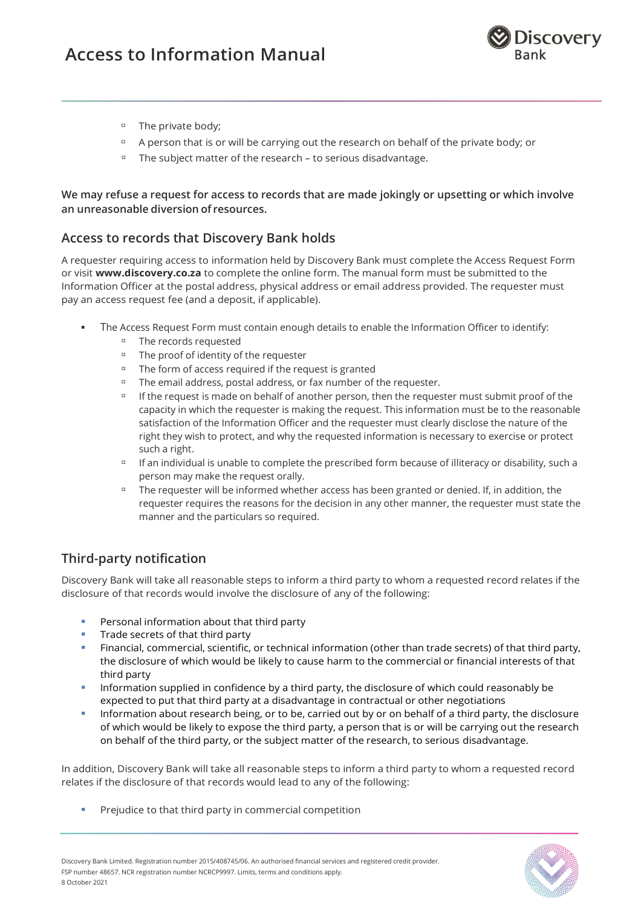

- The private body;
- □ A person that is or will be carrying out the research on behalf of the private body; or
- The subject matter of the research to serious disadvantage.

<span id="page-7-0"></span>**We may refuse a request for access to records that are made jokingly or upsetting or which involve an unreasonable diversion of resources.**

## <span id="page-7-1"></span>**Access to records that Discovery Bank holds**

A requester requiring access to information held by Discovery Bank must complete the Access Request Form or visit **[www.discovery.co.za](http://www.discovery.co.za/)** to complete the online form. The manual form must be submitted to the Information Officer at the postal address, physical address or email address provided. The requester must pay an access request fee (and a deposit, if applicable).

- **The Access Request Form must contain enough details to enable the Information Officer to identify:** 
	- The records requested
	- The proof of identity of the requester
	- The form of access required if the request is granted
	- The email address, postal address, or fax number of the requester.
	- □ If the request is made on behalf of another person, then the requester must submit proof of the capacity in which the requester is making the request. This information must be to the reasonable satisfaction of the Information Officer and the requester must clearly disclose the nature of the right they wish to protect, and why the requested information is necessary to exercise or protect such a right.
	- □ If an individual is unable to complete the prescribed form because of illiteracy or disability, such a person may make the request orally.
	- The requester will be informed whether access has been granted or denied. If, in addition, the requester requires the reasons for the decision in any other manner, the requester must state the manner and the particulars so required.

## <span id="page-7-2"></span>**Third-party notification**

Discovery Bank will take all reasonable steps to inform a third party to whom a requested record relates if the disclosure of that records would involve the disclosure of any of the following:

- Personal information about that third party
- Trade secrets of that third party
- Financial, commercial, scientific, or technical information (other than trade secrets) of that third party, the disclosure of which would be likely to cause harm to the commercial or financial interests of that third party
- **EXED** Information supplied in confidence by a third party, the disclosure of which could reasonably be expected to put that third party at a disadvantage in contractual or other negotiations
- **•** Information about research being, or to be, carried out by or on behalf of a third party, the disclosure of which would be likely to expose the third party, a person that is or will be carrying out the research on behalf of the third party, or the subject matter of the research, to serious disadvantage.

In addition, Discovery Bank will take all reasonable steps to inform a third party to whom a requested record relates if the disclosure of that records would lead to any of the following:

Prejudice to that third party in commercial competition



Discovery Bank Limited. Registration number 2015/408745/06. An authorised financial services and registered credit provider. FSP number 48657. NCR registration number NCRCP9997. Limits, terms and conditions apply. 8 October 2021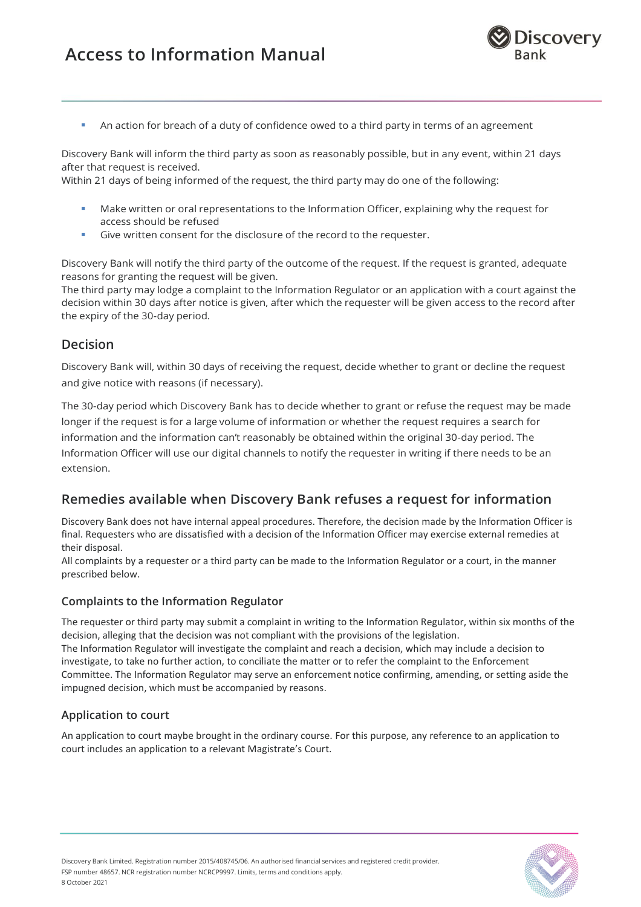

An action for breach of a duty of confidence owed to a third party in terms of an agreement

Discovery Bank will inform the third party as soon as reasonably possible, but in any event, within 21 days after that request is received.

Within 21 days of being informed of the request, the third party may do one of the following:

- Make written or oral representations to the Information Officer, explaining why the request for access should be refused
- Give written consent for the disclosure of the record to the requester.

Discovery Bank will notify the third party of the outcome of the request. If the request is granted, adequate reasons for granting the request will be given.

The third party may lodge a complaint to the Information Regulator or an application with a court against the decision within 30 days after notice is given, after which the requester will be given access to the record after the expiry of the 30-day period.

### <span id="page-8-0"></span>**Decision**

Discovery Bank will, within 30 days of receiving the request, decide whether to grant or decline the request and give notice with reasons (if necessary).

The 30-day period which Discovery Bank has to decide whether to grant or refuse the request may be made longer if the request is for a large volume of information or whether the request requires a search for information and the information can't reasonably be obtained within the original 30-day period. The Information Officer will use our digital channels to notify the requester in writing if there needs to be an extension.

## <span id="page-8-1"></span>**Remedies available when Discovery Bank refuses a request for information**

Discovery Bank does not have internal appeal procedures. Therefore, the decision made by the Information Officer is final. Requesters who are dissatisfied with a decision of the Information Officer may exercise external remedies at their disposal.

All complaints by a requester or a third party can be made to the Information Regulator or a court, in the manner prescribed below.

### <span id="page-8-2"></span>**Complaints to the Information Regulator**

The requester or third party may submit a complaint in writing to the Information Regulator, within six months of the decision, alleging that the decision was not compliant with the provisions of the legislation. The Information Regulator will investigate the complaint and reach a decision, which may include a decision to investigate, to take no further action, to conciliate the matter or to refer the complaint to the Enforcement Committee. The Information Regulator may serve an enforcement notice confirming, amending, or setting aside the impugned decision, which must be accompanied by reasons.

### <span id="page-8-3"></span>**Application to court**

An application to court maybe brought in the ordinary course. For this purpose, any reference to an application to court includes an application to a relevant Magistrate's Court.

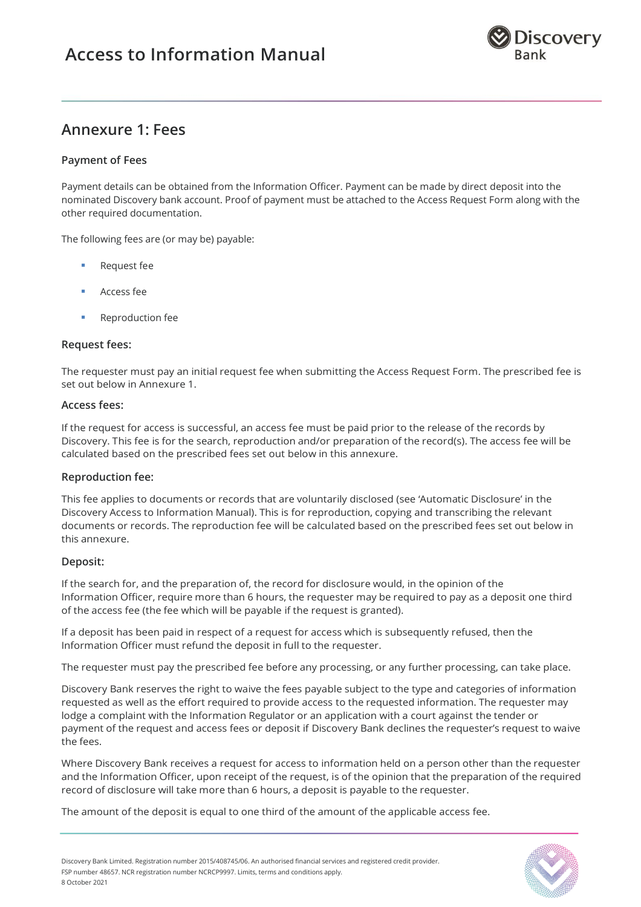

## <span id="page-9-0"></span>**Annexure 1: Fees**

#### <span id="page-9-1"></span>**Payment of Fees**

Payment details can be obtained from the Information Officer. Payment can be made by direct deposit into the nominated Discovery bank account. Proof of payment must be attached to the Access Request Form along with the other required documentation.

The following fees are (or may be) payable:

- Request fee
- Access fee
- Reproduction fee

#### <span id="page-9-2"></span>**Request fees:**

The requester must pay an initial request fee when submitting the Access Request Form. The prescribed fee is set out below in Annexure 1.

#### <span id="page-9-3"></span>**Access fees:**

If the request for access is successful, an access fee must be paid prior to the release of the records by Discovery. This fee is for the search, reproduction and/or preparation of the record(s). The access fee will be calculated based on the prescribed fees set out below in this annexure.

#### <span id="page-9-4"></span>**Reproduction fee:**

This fee applies to documents or records that are voluntarily disclosed (see 'Automatic Disclosure' in the Discovery Access to Information Manual). This is for reproduction, copying and transcribing the relevant documents or records. The reproduction fee will be calculated based on the prescribed fees set out below in this annexure.

#### <span id="page-9-5"></span>**Deposit:**

If the search for, and the preparation of, the record for disclosure would, in the opinion of the Information Officer, require more than 6 hours, the requester may be required to pay as a deposit one third of the access fee (the fee which will be payable if the request is granted).

If a deposit has been paid in respect of a request for access which is subsequently refused, then the Information Officer must refund the deposit in full to the requester.

The requester must pay the prescribed fee before any processing, or any further processing, can take place.

Discovery Bank reserves the right to waive the fees payable subject to the type and categories of information requested as well as the effort required to provide access to the requested information. The requester may lodge a complaint with the Information Regulator or an application with a court against the tender or payment of the request and access fees or deposit if Discovery Bank declines the requester's request to waive the fees.

Where Discovery Bank receives a request for access to information held on a person other than the requester and the Information Officer, upon receipt of the request, is of the opinion that the preparation of the required record of disclosure will take more than 6 hours, a deposit is payable to the requester.

The amount of the deposit is equal to one third of the amount of the applicable access fee.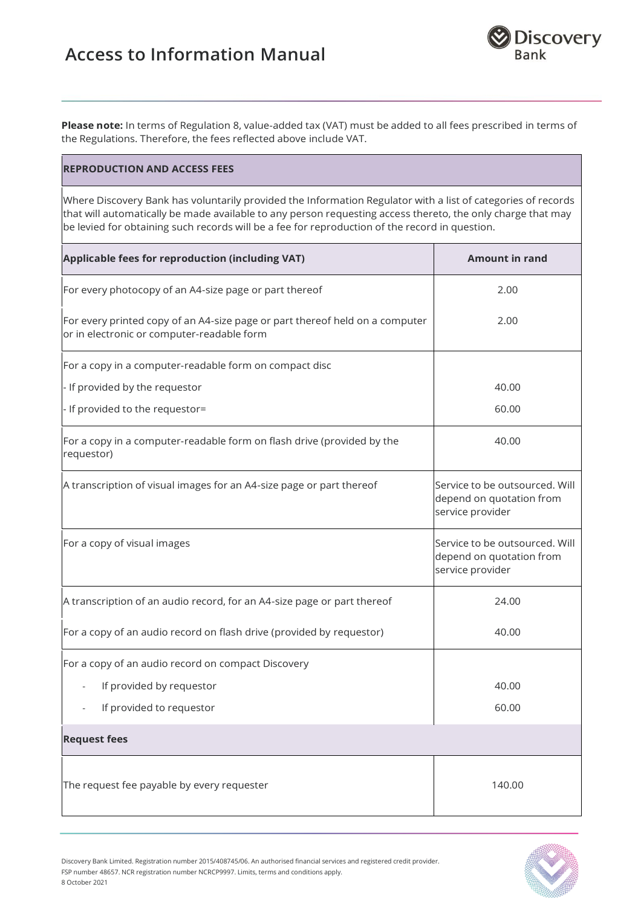

**Please note:** In terms of Regulation 8, value-added tax (VAT) must be added to all fees prescribed in terms of the Regulations. Therefore, the fees reflected above include VAT.

#### **REPRODUCTION AND ACCESS FEES**

8 October 2021

Where Discovery Bank has voluntarily provided the Information Regulator with a list of categories of records that will automatically be made available to any person requesting access thereto, the only charge that may be levied for obtaining such records will be a fee for reproduction of the record in question.

| Applicable fees for reproduction (including VAT)                                                                           | <b>Amount in rand</b>                                                          |
|----------------------------------------------------------------------------------------------------------------------------|--------------------------------------------------------------------------------|
| For every photocopy of an A4-size page or part thereof                                                                     | 2.00                                                                           |
| For every printed copy of an A4-size page or part thereof held on a computer<br>or in electronic or computer-readable form | 2.00                                                                           |
| For a copy in a computer-readable form on compact disc                                                                     |                                                                                |
| - If provided by the requestor                                                                                             | 40.00                                                                          |
| - If provided to the requestor=                                                                                            | 60.00                                                                          |
| For a copy in a computer-readable form on flash drive (provided by the<br>requestor)                                       | 40.00                                                                          |
| A transcription of visual images for an A4-size page or part thereof                                                       | Service to be outsourced. Will<br>depend on quotation from<br>service provider |
| For a copy of visual images                                                                                                | Service to be outsourced. Will<br>depend on quotation from<br>service provider |
| A transcription of an audio record, for an A4-size page or part thereof                                                    | 24.00                                                                          |
| For a copy of an audio record on flash drive (provided by requestor)                                                       | 40.00                                                                          |
| For a copy of an audio record on compact Discovery                                                                         |                                                                                |
| If provided by requestor                                                                                                   | 40.00                                                                          |
| If provided to requestor                                                                                                   | 60.00                                                                          |
| <b>Request fees</b>                                                                                                        |                                                                                |
| The request fee payable by every requester                                                                                 | 140.00                                                                         |